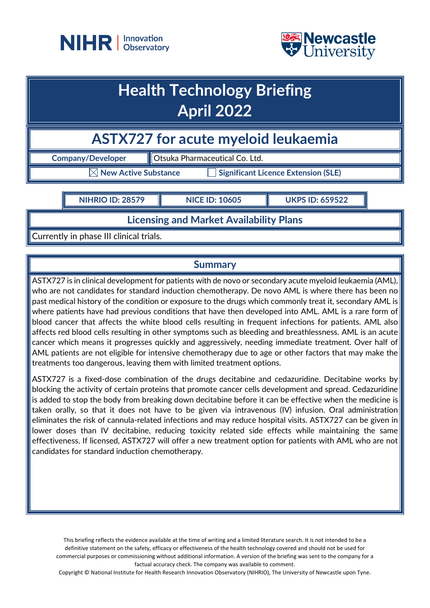



# **Health Technology Briefing April 2022**

**ASTX727 for acute myeloid leukaemia**

**Company/Developer Company/Developer Company** 

 $\boxtimes$  New Active Substance  $\qquad \qquad \Box$  Significant Licence Extension (SLE)

**NIHRIO ID: 28579 NICE ID: 10605 UKPS ID: 659522**

**Licensing and Market Availability Plans**

Currently in phase III clinical trials.

# **Summary**

ASTX727 is in clinical development for patients with de novo or secondary acute myeloid leukaemia (AML), who are not candidates for standard induction chemotherapy. De novo AML is where there has been no past medical history of the condition or exposure to the drugs which commonly treat it, secondary AML is where patients have had previous conditions that have then developed into AML. AML is a rare form of blood cancer that affects the white blood cells resulting in frequent infections for patients. AML also affects red blood cells resulting in other symptoms such as bleeding and breathlessness. AML is an acute cancer which means it progresses quickly and aggressively, needing immediate treatment. Over half of AML patients are not eligible for intensive chemotherapy due to age or other factors that may make the treatments too dangerous, leaving them with limited treatment options.

ASTX727 is a fixed-dose combination of the drugs decitabine and cedazuridine. Decitabine works by blocking the activity of certain proteins that promote cancer cells development and spread. Cedazuridine is added to stop the body from breaking down decitabine before it can be effective when the medicine is taken orally, so that it does not have to be given via intravenous (IV) infusion. Oral administration eliminates the risk of cannula-related infections and may reduce hospital visits. ASTX727 can be given in lower doses than IV decitabine, reducing toxicity related side effects while maintaining the same effectiveness. If licensed, ASTX727 will offer a new treatment option for patients with AML who are not candidates for standard induction chemotherapy.

This briefing reflects the evidence available at the time of writing and a limited literature search. It is not intended to be a definitive statement on the safety, efficacy or effectiveness of the health technology covered and should not be used for commercial purposes or commissioning without additional information. A version of the briefing was sent to the company for a factual accuracy check. The company was available to comment.

Copyright © National Institute for Health Research Innovation Observatory (NIHRIO), The University of Newcastle upon Tyne.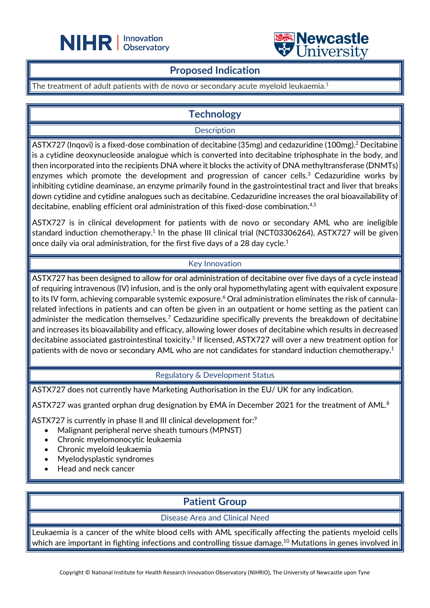



### **Proposed Indication**

The treatment of adult patients with de novo or secondary acute myeloid leukaemia. 1

L

# **Technology**

**Description** 

ASTX727 (Inqovi) is a fixed-dose combination of decitabine (35mg) and cedazuridine (100mg).2 Decitabine is a cytidine deoxynucleoside analogue which is converted into decitabine triphosphate in the body, and then incorporated into the recipients DNA where it blocks the activity of DNA methyltransferase (DNMTs) enzymes which promote the development and progression of cancer cells.<sup>3</sup> Cedazuridine works by inhibiting cytidine deaminase, an enzyme primarily found in the gastrointestinal tract and liver that breaks down cytidine and cytidine analogues such as decitabine. Cedazuridine increases the oral bioavailability of decitabine, enabling efficient oral administration of this fixed-dose combination. 4,5

ASTX727 is in clinical development for patients with de novo or secondary AML who are ineligible standard induction chemotherapy.<sup>1</sup> In the phase III clinical trial (NCT03306264), ASTX727 will be given once daily via oral administration, for the first five days of a 28 day cycle.<sup>1</sup>

### Key Innovation

ASTX727 has been designed to allow for oral administration of decitabine over five days of a cycle instead of requiring intravenous (IV) infusion, and is the only oral hypomethylating agent with equivalent exposure to its IV form, achieving comparable systemic exposure.<sup>6</sup> Oral administration eliminates the risk of cannularelated infections in patients and can often be given in an outpatient or home setting as the patient can administer the medication themselves.<sup>7</sup> Cedazuridine specifically prevents the breakdown of decitabine and increases its bioavailability and efficacy, allowing lower doses of decitabine which results in decreased decitabine associated gastrointestinal toxicity.<sup>5</sup> If licensed, ASTX727 will over a new treatment option for patients with de novo or secondary AML who are not candidates for standard induction chemotherapy.<sup>1</sup>

### Regulatory & Development Status

ASTX727 does not currently have Marketing Authorisation in the EU/ UK for any indication.

ASTX727 was granted orphan drug designation by EMA in December 2021 for the treatment of AML.<sup>8</sup>

ASTX727 is currently in phase II and III clinical development for:<sup>9</sup>

- Malignant peripheral nerve sheath tumours (MPNST)
- Chronic myelomonocytic leukaemia
- Chronic myeloid leukaemia
- Myelodysplastic syndromes
- Head and neck cancer

# **Patient Group**

Disease Area and Clinical Need

Leukaemia is a cancer of the white blood cells with AML specifically affecting the patients myeloid cells which are important in fighting infections and controlling tissue damage. $^{10}$  Mutations in genes involved in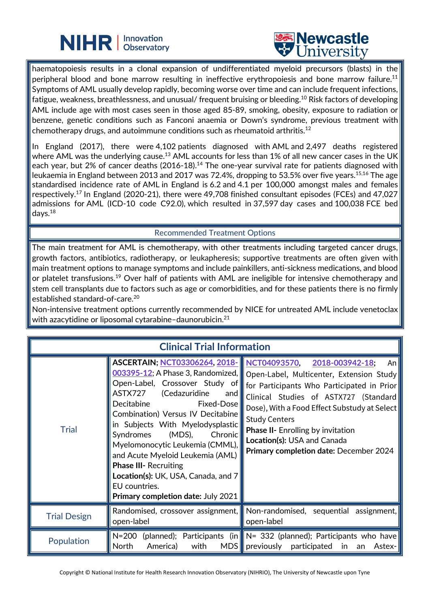



haematopoiesis results in a clonal expansion of undifferentiated myeloid precursors (blasts) in the peripheral blood and bone marrow resulting in ineffective erythropoiesis and bone marrow failure.<sup>11</sup> Symptoms of AML usually develop rapidly, becoming worse over time and can include frequent infections, fatigue, weakness, breathlessness, and unusual/ frequent bruising or bleeding.10 Risk factors of developing AML include age with most cases seen in those aged 85-89, smoking, obesity, exposure to radiation or benzene, genetic conditions such as Fanconi anaemia or Down's syndrome, previous treatment with chemotherapy drugs, and autoimmune conditions such as rheumatoid arthritis.<sup>12</sup>

L

In England (2017), there were 4,102 patients diagnosed with AML and 2,497 deaths registered where AML was the underlying cause.<sup>13</sup> AML accounts for less than 1% of all new cancer cases in the UK each year, but 2% of cancer deaths (2016-18).<sup>14</sup> The one-year survival rate for patients diagnosed with leukaemia in England between 2013 and 2017 was 72.4%, dropping to 53.5% over five years.<sup>15,16</sup> The age standardised incidence rate of AML in England is 6.2 and 4.1 per 100,000 amongst males and females respectively.17 In England (2020-21), there were 49,708 finished consultant episodes (FCEs) and 47,027 admissions for AML (ICD-10 code C92.0), which resulted in 37,597 day cases and 100,038 FCE bed days.18

### Recommended Treatment Options

The main treatment for AML is chemotherapy, with other treatments including targeted cancer drugs, growth factors, antibiotics, radiotherapy, or leukapheresis; supportive treatments are often given with main treatment options to manage symptoms and include painkillers, anti-sickness medications, and blood or platelet transfusions.<sup>19</sup> Over half of patients with AML are ineligible for intensive chemotherapy and stem cell transplants due to factors such as age or comorbidities, and for these patients there is no firmly established standard-of-care.20

Non-intensive treatment options currently recommended by NICE for untreated AML include venetoclax with azacytidine or liposomal cytarabine–daunorubicin. 21

| <b>Clinical Trial Information</b> |                                                                                                                                                                                                                                                                                                                                                                                                                                                             |                                                                                                                                                                                                                                                                                                                                                                                                |
|-----------------------------------|-------------------------------------------------------------------------------------------------------------------------------------------------------------------------------------------------------------------------------------------------------------------------------------------------------------------------------------------------------------------------------------------------------------------------------------------------------------|------------------------------------------------------------------------------------------------------------------------------------------------------------------------------------------------------------------------------------------------------------------------------------------------------------------------------------------------------------------------------------------------|
| <b>Trial</b>                      | ASCERTAIN; NCT03306264, 2018- NCT04093570,<br>Open-Label, Crossover Study of<br>ASTX727 (Cedazuridine<br>and<br>Decitabine<br>Fixed-Dose<br>Combination) Versus IV Decitabine<br>in Subjects With Myelodysplastic<br>$(MDS)$ ,<br>Syndromes<br>Chronic<br>Myelomonocytic Leukemia (CMML),<br>and Acute Myeloid Leukemia (AML)<br><b>Phase III- Recruiting</b><br>Location(s): UK, USA, Canada, and 7<br>EU countries.<br>Primary completion date: July 2021 | 2018-003942-18;<br>An $ $<br>003395-12; A Phase 3, Randomized,    Open-Label, Multicenter, Extension Study<br>for Participants Who Participated in Prior<br>Clinical Studies of ASTX727 (Standard<br>Dose), With a Food Effect Substudy at Select<br><b>Study Centers</b><br><b>Phase II-</b> Enrolling by invitation<br>Location(s): USA and Canada<br>Primary completion date: December 2024 |
| <b>Trial Design</b>               | open-label                                                                                                                                                                                                                                                                                                                                                                                                                                                  | Randomised, crossover assignment, Non-randomised, sequential assignment,<br>open-label                                                                                                                                                                                                                                                                                                         |
| Population                        | with<br>North<br>America)                                                                                                                                                                                                                                                                                                                                                                                                                                   | N=200 (planned); Participants (in $\ N=332$ (planned); Participants who have<br>MDS previously participated<br>in<br>an<br>Astex-1                                                                                                                                                                                                                                                             |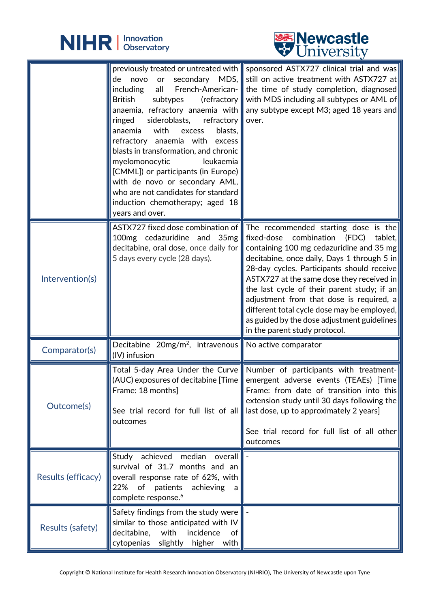

L



|                         | novo<br>de<br><i>including</i><br>all<br><b>British</b><br>subtypes<br>sideroblasts,<br>refractory $\ \$ over.<br>ringed<br>with<br>blasts,<br>anaemia<br>excess<br>refractory anaemia with excess<br>blasts in transformation, and chronic<br>$leu$ kaemia<br>myelomonocytic<br>[CMML]) or participants (in Europe)<br>with de novo or secondary $AML,$<br>who are not candidates for standard<br>induction chemotherapy; aged $18$<br>years and over. | previously treated or untreated with sponsored ASTX727 clinical trial and was<br>or secondary MDS, still on active treatment with ASTX727 at<br>French-American- the time of study completion, diagnosed<br>(refractory with MDS including all subtypes or AML of<br>anaemia, refractory anaemia with any subtype except M3; aged 18 years and                                                                                                                                                                                                                                  |
|-------------------------|---------------------------------------------------------------------------------------------------------------------------------------------------------------------------------------------------------------------------------------------------------------------------------------------------------------------------------------------------------------------------------------------------------------------------------------------------------|---------------------------------------------------------------------------------------------------------------------------------------------------------------------------------------------------------------------------------------------------------------------------------------------------------------------------------------------------------------------------------------------------------------------------------------------------------------------------------------------------------------------------------------------------------------------------------|
| Intervention(s)         | 100mg cedazuridine and<br>5 days every cycle (28 days).                                                                                                                                                                                                                                                                                                                                                                                                 | ASTX727 fixed dose combination of The recommended starting dose is the<br>35mg fixed-dose combination<br>(FDC)<br>tablet,<br>decitabine, oral dose, once daily for containing 100 mg cedazuridine and 35 mg<br>decitabine, once daily, Days 1 through 5 in<br>28-day cycles. Participants should receive<br>ASTX727 at the same dose they received in<br>the last cycle of their parent study; if an<br>adjustment from that dose is required, a<br>different total cycle dose may be employed,<br>as guided by the dose adjustment guidelines<br>in the parent study protocol. |
| Comparator(s)           | Decitabine $20mg/m^2$ , intravenous No active comparator<br>(IV) infusion                                                                                                                                                                                                                                                                                                                                                                               |                                                                                                                                                                                                                                                                                                                                                                                                                                                                                                                                                                                 |
| Outcome(s)              | Frame: 18 months]<br>See trial record for full list of all<br>outcomes                                                                                                                                                                                                                                                                                                                                                                                  | Total 5-day Area Under the Curve Number of participants with treatment-<br>(AUC) exposures of decitabine [Time    emergent adverse events (TEAEs) [Time  <br>Frame: from date of transition into this<br>extension study until 30 days following the<br>Iast dose, up to approximately 2 years]<br>See trial record for full list of all other<br>outcomes                                                                                                                                                                                                                      |
| Results (efficacy)      | achieved<br>median<br>Study<br>overall<br>survival of 31.7 months and an<br>overall response rate of 62%, with<br>22%<br>of patients<br>achieving<br>a l<br>complete response. <sup>6</sup>                                                                                                                                                                                                                                                             |                                                                                                                                                                                                                                                                                                                                                                                                                                                                                                                                                                                 |
| <b>Results (safety)</b> | Safety findings from the study were<br>similar to those anticipated with IV<br>decitabine,<br>with<br>incidence<br>of  <br>cytopenias<br>slightly<br>higher<br>with $\ $                                                                                                                                                                                                                                                                                |                                                                                                                                                                                                                                                                                                                                                                                                                                                                                                                                                                                 |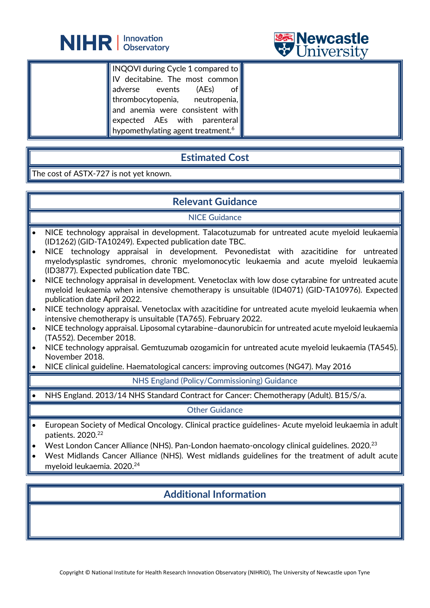



INQOVI during Cycle 1 compared to IV decitabine. The most common adverse events (AEs) of thrombocytopenia, neutropenia, and anemia were consistent with expected AEs with parenteral hypomethylating agent treatment.<sup>6</sup>

L

# **Estimated Cost**

The cost of ASTX-727 is not yet known.

# **Relevant Guidance**

### NICE Guidance

- NICE technology appraisal in development. Talacotuzumab for untreated acute myeloid leukaemia (ID1262) (GID-TA10249). Expected publication date TBC.
- NICE technology appraisal in development. Pevonedistat with azacitidine for untreated myelodysplastic syndromes, chronic myelomonocytic leukaemia and acute myeloid leukaemia (ID3877). Expected publication date TBC.
- NICE technology appraisal in development. Venetoclax with low dose cytarabine for untreated acute myeloid leukaemia when intensive chemotherapy is unsuitable (ID4071) (GID-TA10976). Expected publication date April 2022.
- NICE technology appraisal. Venetoclax with azacitidine for untreated acute myeloid leukaemia when $\parallel$ intensive chemotherapy is unsuitable (TA765). February 2022.
- NICE technology appraisal. Liposomal cytarabine–daunorubicin for untreated acute myeloid leukaemia (TA552). December 2018.
- NICE technology appraisal. Gemtuzumab ozogamicin for untreated acute myeloid leukaemia (TA545). November 2018.
- NICE clinical guideline. Haematological cancers: improving outcomes (NG47). May 2016

### NHS England (Policy/Commissioning) Guidance

• NHS England. 2013/14 NHS Standard Contract for Cancer: Chemotherapy (Adult). B15/S/a.

Other Guidance

- European Society of Medical Oncology. Clinical practice guidelines- Acute myeloid leukaemia in adult patients. 2020.<sup>22</sup>
- West London Cancer Alliance (NHS). Pan-London haemato-oncology clinical guidelines. 2020.23
- West Midlands Cancer Alliance (NHS). West midlands guidelines for the treatment of adult acute myeloid leukaemia. 2020.24

# **Additional Information**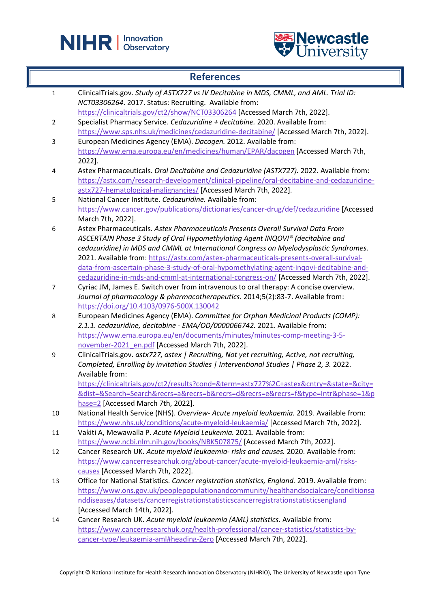



## **References**

| $\mathbf 1$             | ClinicalTrials.gov. Study of ASTX727 vs IV Decitabine in MDS, CMML, and AML. Trial ID:         |
|-------------------------|------------------------------------------------------------------------------------------------|
|                         | NCT03306264. 2017. Status: Recruiting. Available from:                                         |
|                         | https://clinicaltrials.gov/ct2/show/NCT03306264 [Accessed March 7th, 2022].                    |
| $\overline{2}$          | Specialist Pharmacy Service. Cedazuridine + decitabine. 2020. Available from:                  |
|                         | https://www.sps.nhs.uk/medicines/cedazuridine-decitabine/ [Accessed March 7th, 2022].          |
| 3                       | European Medicines Agency (EMA). Dacogen. 2012. Available from:                                |
|                         | https://www.ema.europa.eu/en/medicines/human/EPAR/dacogen [Accessed March 7th,                 |
|                         | 2022].                                                                                         |
| $\overline{\mathbf{4}}$ | Astex Pharmaceuticals. Oral Decitabine and Cedazuridine (ASTX727). 2022. Available from:       |
|                         | https://astx.com/research-development/clinical-pipeline/oral-decitabine-and-cedazuridine-      |
|                         | astx727-hematological-malignancies/ [Accessed March 7th, 2022].                                |
| 5                       | National Cancer Institute. Cedazuridine. Available from:                                       |
|                         | https://www.cancer.gov/publications/dictionaries/cancer-drug/def/cedazuridine [Accessed        |
|                         | March 7th, 2022].                                                                              |
| 6                       | Astex Pharmaceuticals. Astex Pharmaceuticals Presents Overall Survival Data From               |
|                         | ASCERTAIN Phase 3 Study of Oral Hypomethylating Agent INQOVI® (decitabine and                  |
|                         | cedazuridine) in MDS and CMML at International Congress on Myelodysplastic Syndromes.          |
|                         | 2021. Available from: https://astx.com/astex-pharmaceuticals-presents-overall-survival-        |
|                         | data-from-ascertain-phase-3-study-of-oral-hypomethylating-agent-inqovi-decitabine-and-         |
|                         | cedazuridine-in-mds-and-cmml-at-international-congress-on/ [Accessed March 7th, 2022].         |
| 7                       | Cyriac JM, James E. Switch over from intravenous to oral therapy: A concise overview.          |
|                         | Journal of pharmacology & pharmacotherapeutics. 2014;5(2):83-7. Available from:                |
|                         | https://doi.org/10.4103/0976-500X.130042                                                       |
| 8                       | European Medicines Agency (EMA). Committee for Orphan Medicinal Products (COMP):               |
|                         | 2.1.1. cedazuridine, decitabine - EMA/OD/0000066742. 2021. Available from:                     |
|                         | https://www.ema.europa.eu/en/documents/minutes/minutes-comp-meeting-3-5-                       |
|                         | november-2021_en.pdf [Accessed March 7th, 2022].                                               |
| 9                       | ClinicalTrials.gov. astx727, astex   Recruiting, Not yet recruiting, Active, not recruiting,   |
|                         | Completed, Enrolling by invitation Studies   Interventional Studies   Phase 2, 3. 2022.        |
|                         | Available from:                                                                                |
|                         | https://clinicaltrials.gov/ct2/results?cond=&term=astx727%2C+astex&cntry=&state=&city=         |
|                         | &dist=&Search=Search&recrs=a&recrs=b&recrs=d&recrs=e&recrs=f&type=Intr&phase=1&p               |
|                         | hase=2 [Accessed March 7th, 2022].                                                             |
| 10                      | National Health Service (NHS). Overview- Acute myeloid leukaemia. 2019. Available from:        |
|                         | https://www.nhs.uk/conditions/acute-myeloid-leukaemia/ [Accessed March 7th, 2022].             |
| 11                      | Vakiti A, Mewawalla P. Acute Myeloid Leukemia. 2021. Available from:                           |
|                         | https://www.ncbi.nlm.nih.gov/books/NBK507875/ [Accessed March 7th, 2022].                      |
| 12                      | Cancer Research UK. Acute myeloid leukaemia- risks and causes. 2020. Available from:           |
|                         | https://www.cancerresearchuk.org/about-cancer/acute-myeloid-leukaemia-aml/risks-               |
|                         | causes [Accessed March 7th, 2022].                                                             |
| 13                      | Office for National Statistics. Cancer registration statistics, England. 2019. Available from: |
|                         | https://www.ons.gov.uk/peoplepopulationandcommunity/healthandsocialcare/conditionsa            |
|                         |                                                                                                |
|                         | nddiseases/datasets/cancerregistrationstatisticscancerregistrationstatisticsengland            |
|                         | [Accessed March 14th, 2022].                                                                   |
| 14                      | Cancer Research UK. Acute myeloid leukaemia (AML) statistics. Available from:                  |
|                         | https://www.cancerresearchuk.org/health-professional/cancer-statistics/statistics-by-          |